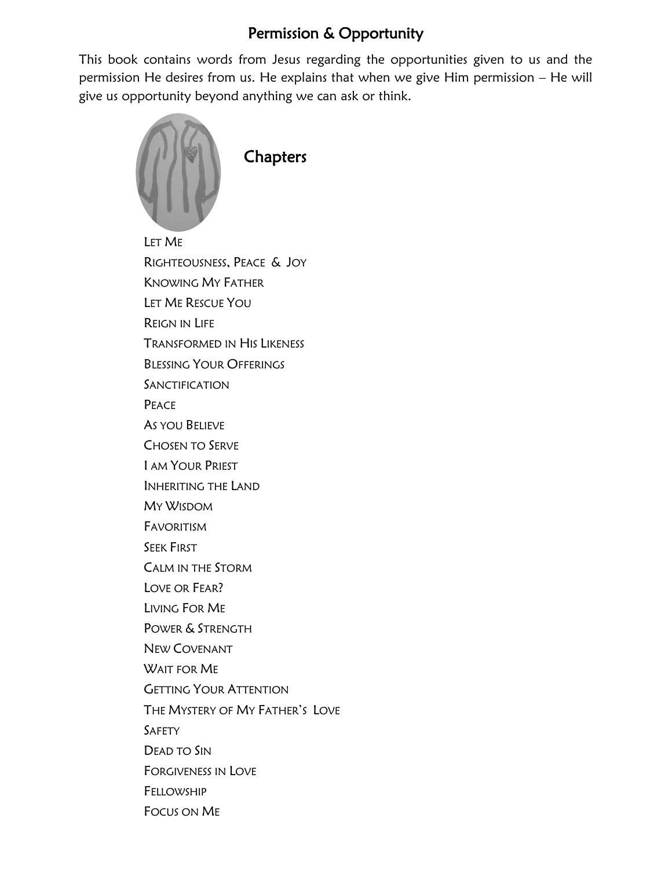## Permission & Opportunity

This book contains words from Jesus regarding the opportunities given to us and the permission He desires from us. He explains that when we give Him permission – He will give us opportunity beyond anything we can ask or think.



LET ME RIGHTEOUSNESS, PEACE & JOY KNOWING MY FATHER LET ME RESCUE YOU REIGN IN LIFE TRANSFORMED IN HIS LIKENESS BLESSING YOUR OFFERINGS **SANCTIFICATION PEACE** AS YOU BELIEVE CHOSEN TO SERVE I AM YOUR PRIEST INHERITING THE LAND MY WISDOM FAVORITISM SEEK FIRST CALM IN THE STORM LOVE OR FEAR? LIVING FOR ME POWER & STRENGTH NEW COVENANT WAIT FOR ME GETTING YOUR ATTENTION THE MYSTERY OF MY FATHER'S LOVE SAFETY DEAD TO SIN FORGIVENESS IN LOVE FELLOWSHIP FOCUS ON ME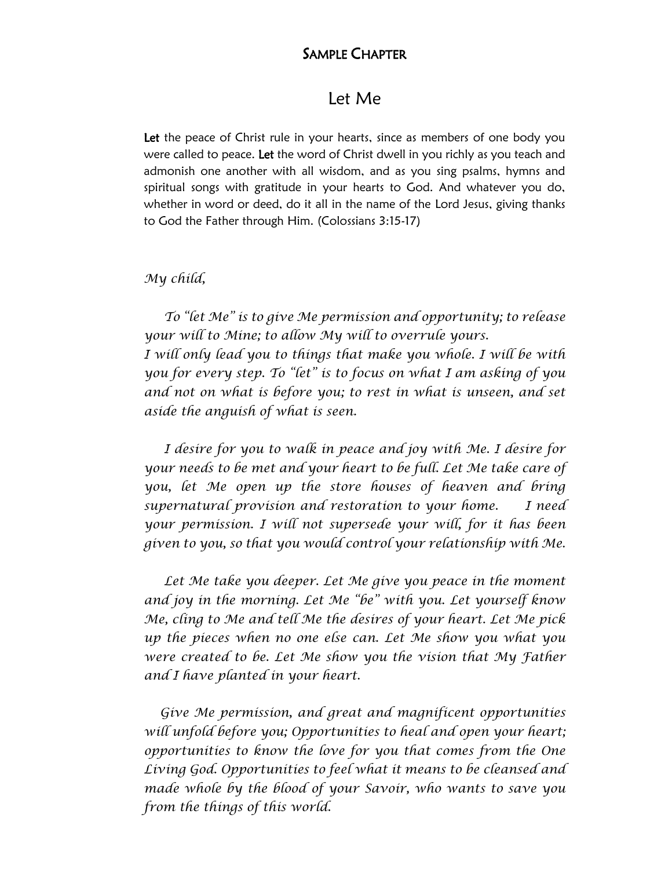### SAMPLE CHAPTER

### Let Me

Let the peace of Christ rule in your hearts, since as members of one body you were called to peace. Let the word of Christ dwell in you richly as you teach and admonish one another with all wisdom, and as you sing psalms, hymns and spiritual songs with gratitude in your hearts to God. And whatever you do, whether in word or deed, do it all in the name of the Lord Jesus, giving thanks to God the Father through Him. (Colossians 3:15-17)

#### *My child,*

 *To "let Me" is to give Me permission and opportunity; to release your will to Mine; to allow My will to overrule yours. I will only lead you to things that make you whole. I will be with you for every step. To "let" is to focus on what I am asking of you and not on what is before you; to rest in what is unseen, and set aside the anguish of what is seen.*

 *I desire for you to walk in peace and joy with Me. I desire for your needs to be met and your heart to be full. Let Me take care of you, let Me open up the store houses of heaven and bring supernatural provision and restoration to your home. I need your permission. I will not supersede your will, for it has been given to you, so that you would control your relationship with Me.*

 *Let Me take you deeper. Let Me give you peace in the moment and joy in the morning. Let Me "be" with you. Let yourself know Me, cling to Me and tell Me the desires of your heart. Let Me pick up the pieces when no one else can. Let Me show you what you were created to be. Let Me show you the vision that My Father and I have planted in your heart.*

 *Give Me permission, and great and magnificent opportunities will unfold before you; Opportunities to heal and open your heart; opportunities to know the love for you that comes from the One Living God. Opportunities to feel what it means to be cleansed and made whole by the blood of your Savoir, who wants to save you from the things of this world.*